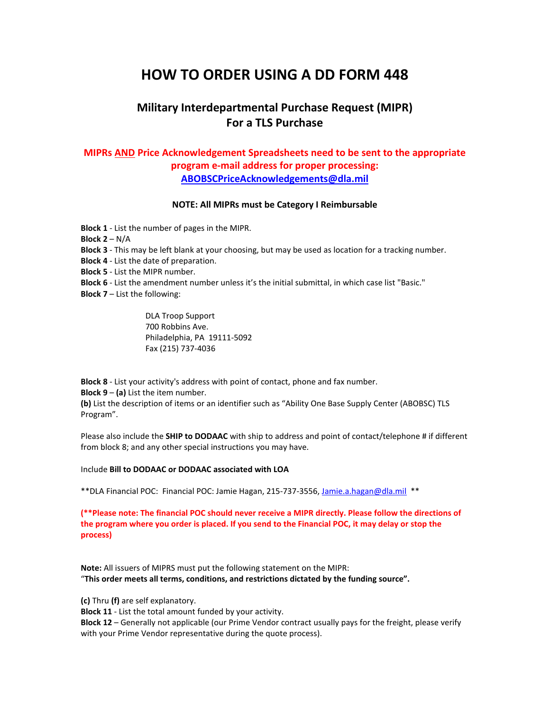# **HOW TO ORDER USING A DD FORM 448**

## **Military Interdepartmental Purchase Request (MIPR) For a TLS Purchase**

### **MIPRs AND Price Acknowledgement Spreadsheets need to be sent to the appropriate program e-mail address for proper processing: [ABOBSCPriceAcknowledgements@dla.mil](mailto:ABOBSCPriceAcknowledgements@dla.mil)**

### **NOTE: All MIPRs must be Category I Reimbursable**

**Block 1** - List the number of pages in the MIPR. **Block 2** – N/A **Block 3** - This may be left blank at your choosing, but may be used as location for a tracking number. **Block 4** - List the date of preparation. **Block 5** - List the MIPR number. **Block 6** - List the amendment number unless it's the initial submittal, in which case list "Basic." **Block 7** – List the following:

> DLA Troop Support 700 Robbins Ave. Philadelphia, PA 19111-5092 Fax (215) 737-4036

**Block 8** - List your activity's address with point of contact, phone and fax number. **Block 9** – **(a)** List the item number.

**(b)** List the description of items or an identifier such as "Ability One Base Supply Center (ABOBSC) TLS Program".

Please also include the **SHIP to DODAAC** with ship to address and point of contact/telephone # if different from block 8; and any other special instructions you may have.

Include **Bill to DODAAC or DODAAC associated with LOA**

\*\*DLA Financial POC: Financial POC: Jamie Hagan, 215-737-3556[, Jamie.a.hagan@dla.mil](mailto:Jamie.a.hagan@dla.mil) \*\*

**(\*\*Please note: The financial POC should never receive a MIPR directly. Please follow the directions of the program where you order is placed. If you send to the Financial POC, it may delay or stop the process)**

**Note:** All issuers of MIPRS must put the following statement on the MIPR: "**This order meets all terms, conditions, and restrictions dictated by the funding source".**

**(c)** Thru **(f)** are self explanatory.

**Block 11** - List the total amount funded by your activity.

**Block 12** – Generally not applicable (our Prime Vendor contract usually pays for the freight, please verify with your Prime Vendor representative during the quote process).